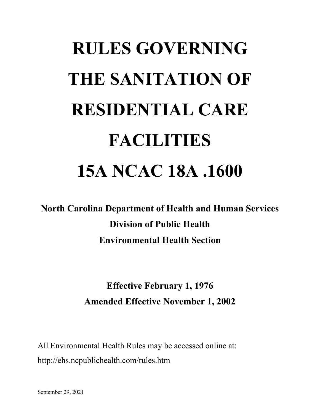# **RULES GOVERNING THE SANITATION OF RESIDENTIAL CARE FACILITIES 15A NCAC 18A .1600**

**North Carolina Department of Health and Human Services Division of Public Health Environmental Health Section**

# **Effective February 1, 1976 Amended Effective November 1, 2002**

All Environmental Health Rules may be accessed online at: http://ehs.ncpublichealth.com/rules.htm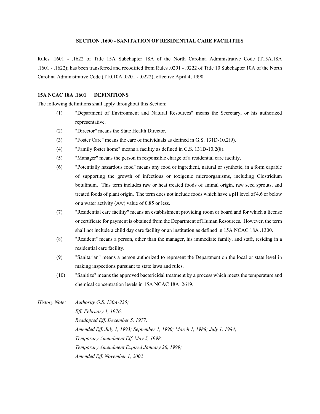# **SECTION .1600 - SANITATION OF RESIDENTIAL CARE FACILITIES**

Rules .1601 - .1622 of Title 15A Subchapter 18A of the North Carolina Administrative Code (T15A.18A .1601 - .1622); has been transferred and recodified from Rules .0201 - .0222 of Title 10 Subchapter 10A of the North Carolina Administrative Code (T10.10A .0201 - .0222), effective April 4, 1990.

# **15A NCAC 18A .1601 DEFINITIONS**

The following definitions shall apply throughout this Section:

- (1) "Department of Environment and Natural Resources" means the Secretary, or his authorized representative.
- (2) "Director" means the State Health Director.
- (3) "Foster Care" means the care of individuals as defined in G.S. 131D-10.2(9).
- (4) "Family foster home" means a facility as defined in G.S. 131D-10.2(8).
- (5) "Manager" means the person in responsible charge of a residential care facility.
- (6) "Potentially hazardous food" means any food or ingredient, natural or synthetic, in a form capable of supporting the growth of infectious or toxigenic microorganisms, including Clostridium botulinum. This term includes raw or heat treated foods of animal origin, raw seed sprouts, and treated foods of plant origin. The term does not include foods which have a pH level of 4.6 or below or a water activity (Aw) value of 0.85 or less.
- (7) "Residential care facility" means an establishment providing room or board and for which a license or certificate for payment is obtained from the Department of Human Resources. However, the term shall not include a child day care facility or an institution as defined in 15A NCAC 18A .1300.
- (8) "Resident" means a person, other than the manager, his immediate family, and staff, residing in a residential care facility.
- (9) "Sanitarian" means a person authorized to represent the Department on the local or state level in making inspections pursuant to state laws and rules.
- (10) "Sanitize" means the approved bactericidal treatment by a process which meets the temperature and chemical concentration levels in 15A NCAC 18A .2619.
- *History Note: Authority G.S. 130A-235; Eff. February 1, 1976; Readopted Eff. December 5, 1977; Amended Eff. July 1, 1993; September 1, 1990; March 1, 1988; July 1, 1984; Temporary Amendment Eff. May 5, 1998; Temporary Amendment Expired January 26, 1999; Amended Eff. November 1, 2002*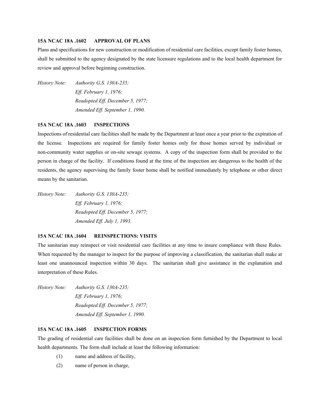#### **15A NCAC 18A .1602 APPROVAL OF PLANS**

Plans and specifications for new construction or modification of residential care facilities, except family foster homes, shall be submitted to the agency designated by the state licensure regulations and to the local health department for review and approval before beginning construction.

*History Note: Authority G.S. 130A-235; Eff. February 1, 1976; Readopted Eff. December 5, 1977; Amended Eff. September 1, 1990.*

## **15A NCAC 18A .1603 INSPECTIONS**

Inspections of residential care facilities shall be made by the Department at least once a year prior to the expiration of the license. Inspections are required for family foster homes only for those homes served by individual or non-community water supplies or on-site sewage systems. A copy of the inspection form shall be provided to the person in charge of the facility. If conditions found at the time of the inspection are dangerous to the health of the residents, the agency supervising the family foster home shall be notified immediately by telephone or other direct means by the sanitarian.

*History Note: Authority G.S. 130A-235; Eff. February 1, 1976; Readopted Eff. December 5, 1977; Amended Eff. July 1, 1993.*

# **15A NCAC 18A .1604 REINSPECTIONS: VISITS**

The sanitarian may reinspect or visit residential care facilities at any time to insure compliance with these Rules. When requested by the manager to inspect for the purpose of improving a classification, the sanitarian shall make at least one unannounced inspection within 30 days. The sanitarian shall give assistance in the explanation and interpretation of these Rules.

*History Note: Authority G.S. 130A-235; Eff. February 1, 1976; Readopted Eff. December 5, 1977; Amended Eff. September 1, 1990.*

#### **15A NCAC 18A .1605 INSPECTION FORMS**

The grading of residential care facilities shall be done on an inspection form furnished by the Department to local health departments. The form shall include at least the following information:

- (1) name and address of facility,
- (2) name of person in charge,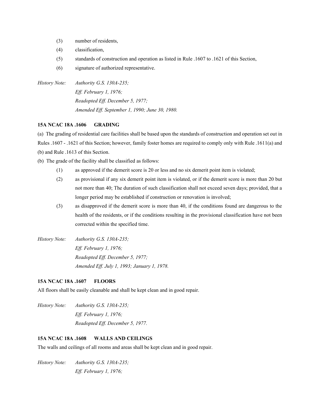- (3) number of residents,
- (4) classification,
- (5) standards of construction and operation as listed in Rule .1607 to .1621 of this Section,
- (6) signature of authorized representative.
- *History Note: Authority G.S. 130A-235; Eff. February 1, 1976; Readopted Eff. December 5, 1977; Amended Eff. September 1, 1990; June 30, 1980.*

# **15A NCAC 18A .1606 GRADING**

(a) The grading of residential care facilities shall be based upon the standards of construction and operation set out in Rules .1607 - .1621 of this Section; however, family foster homes are required to comply only with Rule .1611(a) and (b) and Rule .1613 of this Section.

- (b) The grade of the facility shall be classified as follows:
	- (1) as approved if the demerit score is 20 or less and no six demerit point item is violated;
	- (2) as provisional if any six demerit point item is violated, or if the demerit score is more than 20 but not more than 40; The duration of such classification shall not exceed seven days; provided, that a longer period may be established if construction or renovation is involved;
	- (3) as disapproved if the demerit score is more than 40, if the conditions found are dangerous to the health of the residents, or if the conditions resulting in the provisional classification have not been corrected within the specified time.
- *History Note: Authority G.S. 130A-235; Eff. February 1, 1976; Readopted Eff. December 5, 1977; Amended Eff. July 1, 1993; January 1, 1978.*

# **15A NCAC 18A .1607 FLOORS**

All floors shall be easily cleanable and shall be kept clean and in good repair.

*History Note: Authority G.S. 130A-235; Eff. February 1, 1976; Readopted Eff. December 5, 1977.*

# **15A NCAC 18A .1608 WALLS AND CEILINGS**

The walls and ceilings of all rooms and areas shall be kept clean and in good repair.

*History Note: Authority G.S. 130A-235; Eff. February 1, 1976;*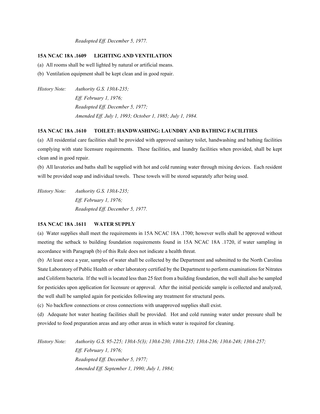*Readopted Eff. December 5, 1977.*

# **15A NCAC 18A .1609 LIGHTING AND VENTILATION**

(a) All rooms shall be well lighted by natural or artificial means.

- (b) Ventilation equipment shall be kept clean and in good repair.
- *History Note: Authority G.S. 130A-235; Eff. February 1, 1976; Readopted Eff. December 5, 1977; Amended Eff. July 1, 1993; October 1, 1985; July 1, 1984.*

#### **15A NCAC 18A .1610 TOILET: HANDWASHING: LAUNDRY AND BATHING FACILITIES**

(a) All residential care facilities shall be provided with approved sanitary toilet, handwashing and bathing facilities complying with state licensure requirements. These facilities, and laundry facilities when provided, shall be kept clean and in good repair.

(b) All lavatories and baths shall be supplied with hot and cold running water through mixing devices. Each resident will be provided soap and individual towels. These towels will be stored separately after being used.

*History Note: Authority G.S. 130A-235; Eff. February 1, 1976; Readopted Eff. December 5, 1977.*

# **15A NCAC 18A .1611 WATER SUPPLY**

(a) Water supplies shall meet the requirements in 15A NCAC 18A .1700; however wells shall be approved without meeting the setback to building foundation requirements found in 15A NCAC 18A .1720, if water sampling in accordance with Paragraph (b) of this Rule does not indicate a health threat.

(b) At least once a year, samples of water shall be collected by the Department and submitted to the North Carolina State Laboratory of Public Health or other laboratory certified by the Department to perform examinations for Nitrates and Coliform bacteria. If the well is located less than 25 feet from a building foundation, the well shall also be sampled for pesticides upon application for licensure or approval. After the initial pesticide sample is collected and analyzed, the well shall be sampled again for pesticides following any treatment for structural pests.

(c) No backflow connections or cross connections with unapproved supplies shall exist.

(d) Adequate hot water heating facilities shall be provided. Hot and cold running water under pressure shall be provided to food preparation areas and any other areas in which water is required for cleaning.

*History Note: Authority G.S. 95-225; 130A-5(3); 130A-230; 130A-235; 130A-236; 130A-248; 130A-257; Eff. February 1, 1976; Readopted Eff. December 5, 1977; Amended Eff. September 1, 1990; July 1, 1984;*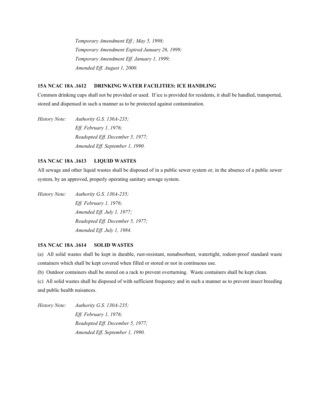*Temporary Amendment Eff.; May 5, 1998; Temporary Amendment Expired January 26, 1999; Temporary Amendment Eff. January 1, 1999; Amended Eff. August 1, 2000.*

# **15A NCAC 18A .1612 DRINKING WATER FACILITIES: ICE HANDLING**

Common drinking cups shall not be provided or used. If ice is provided for residents, it shall be handled, transported, stored and dispensed in such a manner as to be protected against contamination.

*History Note: Authority G.S. 130A-235; Eff. February 1, 1976; Readopted Eff. December 5, 1977; Amended Eff. September 1, 1990.*

# **15A NCAC 18A .1613 LIQUID WASTES**

All sewage and other liquid wastes shall be disposed of in a public sewer system or, in the absence of a public sewer system, by an approved, properly operating sanitary sewage system.

*History Note: Authority G.S. 130A-235; Eff. February 1, 1976; Amended Eff. July 1, 1977; Readopted Eff. December 5, 1977; Amended Eff. July 1, 1984.*

#### **15A NCAC 18A .1614 SOLID WASTES**

(a) All solid wastes shall be kept in durable, rust-resistant, nonabsorbent, watertight, rodent-proof standard waste containers which shall be kept covered when filled or stored or not in continuous use.

(b) Outdoor containers shall be stored on a rack to prevent overturning. Waste containers shall be kept clean.

(c) All solid wastes shall be disposed of with sufficient frequency and in such a manner as to prevent insect breeding and public health nuisances.

*History Note: Authority G.S. 130A-235; Eff. February 1, 1976; Readopted Eff. December 5, 1977; Amended Eff. September 1, 1990.*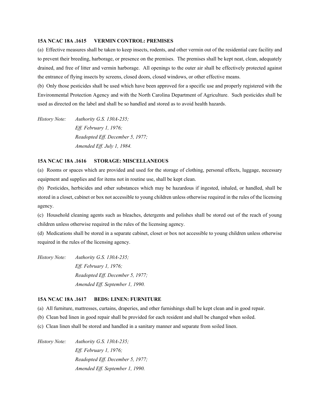#### **15A NCAC 18A .1615 VERMIN CONTROL: PREMISES**

(a) Effective measures shall be taken to keep insects, rodents, and other vermin out of the residential care facility and to prevent their breeding, harborage, or presence on the premises. The premises shall be kept neat, clean, adequately drained, and free of litter and vermin harborage. All openings to the outer air shall be effectively protected against the entrance of flying insects by screens, closed doors, closed windows, or other effective means.

(b) Only those pesticides shall be used which have been approved for a specific use and properly registered with the Environmental Protection Agency and with the North Carolina Department of Agriculture. Such pesticides shall be used as directed on the label and shall be so handled and stored as to avoid health hazards.

*History Note: Authority G.S. 130A-235; Eff. February 1, 1976; Readopted Eff. December 5, 1977; Amended Eff. July 1, 1984.*

# **15A NCAC 18A .1616 STORAGE: MISCELLANEOUS**

(a) Rooms or spaces which are provided and used for the storage of clothing, personal effects, luggage, necessary equipment and supplies and for items not in routine use, shall be kept clean.

(b) Pesticides, herbicides and other substances which may be hazardous if ingested, inhaled, or handled, shall be stored in a closet, cabinet or box not accessible to young children unless otherwise required in the rules of the licensing agency.

(c) Household cleaning agents such as bleaches, detergents and polishes shall be stored out of the reach of young children unless otherwise required in the rules of the licensing agency.

(d) Medications shall be stored in a separate cabinet, closet or box not accessible to young children unless otherwise required in the rules of the licensing agency.

*History Note: Authority G.S. 130A-235; Eff. February 1, 1976; Readopted Eff. December 5, 1977; Amended Eff. September 1, 1990.*

#### **15A NCAC 18A .1617 BEDS: LINEN: FURNITURE**

(a) All furniture, mattresses, curtains, draperies, and other furnishings shall be kept clean and in good repair.

- (b) Clean bed linen in good repair shall be provided for each resident and shall be changed when soiled.
- (c) Clean linen shall be stored and handled in a sanitary manner and separate from soiled linen.

*History Note: Authority G.S. 130A-235; Eff. February 1, 1976; Readopted Eff. December 5, 1977; Amended Eff. September 1, 1990.*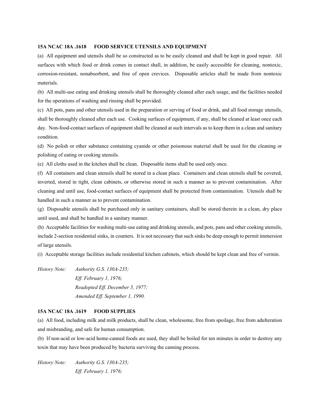#### **15A NCAC 18A .1618 FOOD SERVICE UTENSILS AND EQUIPMENT**

(a) All equipment and utensils shall be so constructed as to be easily cleaned and shall be kept in good repair. All surfaces with which food or drink comes in contact shall, in addition, be easily accessible for cleaning, nontoxic, corrosion-resistant, nonabsorbent, and free of open crevices. Disposable articles shall be made from nontoxic materials.

(b) All multi-use eating and drinking utensils shall be thoroughly cleaned after each usage, and the facilities needed for the operations of washing and rinsing shall be provided.

(c) All pots, pans and other utensils used in the preparation or serving of food or drink, and all food storage utensils, shall be thoroughly cleaned after each use. Cooking surfaces of equipment, if any, shall be cleaned at least once each day. Non-food-contact surfaces of equipment shall be cleaned at such intervals as to keep them in a clean and sanitary condition.

(d) No polish or other substance containing cyanide or other poisonous material shall be used for the cleaning or polishing of eating or cooking utensils.

(e) All cloths used in the kitchen shall be clean. Disposable items shall be used only once.

(f) All containers and clean utensils shall be stored in a clean place. Containers and clean utensils shall be covered, inverted, stored in tight, clean cabinets, or otherwise stored in such a manner as to prevent contamination. After cleaning and until use, food-contact surfaces of equipment shall be protected from contamination. Utensils shall be handled in such a manner as to prevent contamination.

(g) Disposable utensils shall be purchased only in sanitary containers, shall be stored therein in a clean, dry place until used, and shall be handled in a sanitary manner.

(h) Acceptable facilities for washing multi-use eating and drinking utensils, and pots, pans and other cooking utensils, include 2-section residential sinks, in counters. It is not necessary that such sinks be deep enough to permit immersion of large utensils.

(i) Acceptable storage facilities include residential kitchen cabinets, which should be kept clean and free of vermin.

*History Note: Authority G.S. 130A-235; Eff. February 1, 1976; Readopted Eff. December 5, 1977; Amended Eff. September 1, 1990.*

#### **15A NCAC 18A .1619 FOOD SUPPLIES**

(a) All food, including milk and milk products, shall be clean, wholesome, free from spoilage, free from adulteration and misbranding, and safe for human consumption.

(b) If non-acid or low-acid home-canned foods are used, they shall be boiled for ten minutes in order to destroy any toxin that may have been produced by bacteria surviving the canning process.

*History Note: Authority G.S. 130A-235; Eff. February 1, 1976;*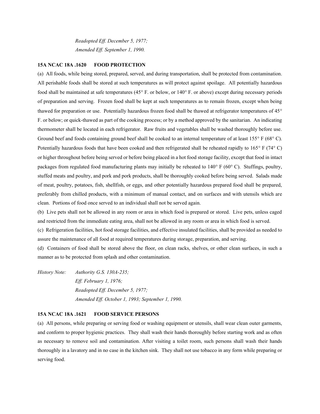*Readopted Eff. December 5, 1977; Amended Eff. September 1, 1990.*

#### **15A NCAC 18A .1620 FOOD PROTECTION**

(a) All foods, while being stored, prepared, served, and during transportation, shall be protected from contamination. All perishable foods shall be stored at such temperatures as will protect against spoilage. All potentially hazardous food shall be maintained at safe temperatures (45 $\degree$  F. or below, or 140 $\degree$  F. or above) except during necessary periods of preparation and serving. Frozen food shall be kept at such temperatures as to remain frozen, except when being thawed for preparation or use. Potentially hazardous frozen food shall be thawed at refrigerator temperatures of 45 F. or below; or quick-thawed as part of the cooking process; or by a method approved by the sanitarian. An indicating thermometer shall be located in each refrigerator. Raw fruits and vegetables shall be washed thoroughly before use. Ground beef and foods containing ground beef shall be cooked to an internal temperature of at least  $155^{\circ}$  F (68 $^{\circ}$  C). Potentially hazardous foods that have been cooked and then refrigerated shall be reheated rapidly to  $165^{\circ}$  F (74 $^{\circ}$  C) or higher throughout before being served or before being placed in a hot food storage facility, except that food in intact packages from regulated food manufacturing plants may initially be reheated to  $140^\circ$  F (60 $^\circ$  C). Stuffings, poultry, stuffed meats and poultry, and pork and pork products, shall be thoroughly cooked before being served. Salads made of meat, poultry, potatoes, fish, shellfish, or eggs, and other potentially hazardous prepared food shall be prepared, preferably from chilled products, with a minimum of manual contact, and on surfaces and with utensils which are clean. Portions of food once served to an individual shall not be served again.

(b) Live pets shall not be allowed in any room or area in which food is prepared or stored. Live pets, unless caged and restricted from the immediate eating area, shall not be allowed in any room or area in which food is served.

(c) Refrigeration facilities, hot food storage facilities, and effective insulated facilities, shall be provided as needed to assure the maintenance of all food at required temperatures during storage, preparation, and serving.

(d) Containers of food shall be stored above the floor, on clean racks, shelves, or other clean surfaces, in such a manner as to be protected from splash and other contamination.

*History Note: Authority G.S. 130A-235; Eff. February 1, 1976; Readopted Eff. December 5, 1977; Amended Eff. October 1, 1993; September 1, 1990.*

#### **15A NCAC 18A .1621 FOOD SERVICE PERSONS**

(a) All persons, while preparing or serving food or washing equipment or utensils, shall wear clean outer garments, and conform to proper hygienic practices. They shall wash their hands thoroughly before starting work and as often as necessary to remove soil and contamination. After visiting a toilet room, such persons shall wash their hands thoroughly in a lavatory and in no case in the kitchen sink. They shall not use tobacco in any form while preparing or serving food.